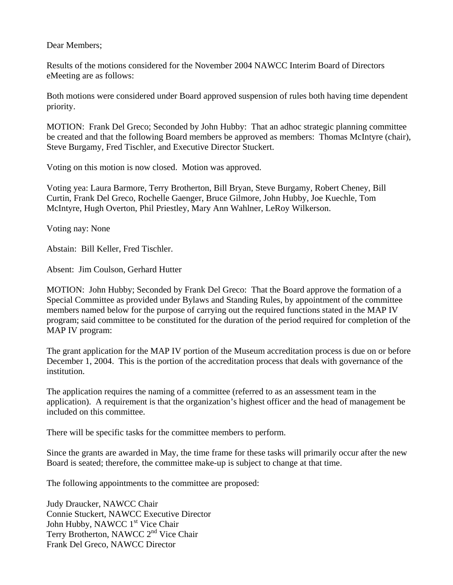Dear Members;

Results of the motions considered for the November 2004 NAWCC Interim Board of Directors eMeeting are as follows:

Both motions were considered under Board approved suspension of rules both having time dependent priority.

MOTION: Frank Del Greco; Seconded by John Hubby: That an adhoc strategic planning committee be created and that the following Board members be approved as members: Thomas McIntyre (chair), Steve Burgamy, Fred Tischler, and Executive Director Stuckert.

Voting on this motion is now closed. Motion was approved.

Voting yea: Laura Barmore, Terry Brotherton, Bill Bryan, Steve Burgamy, Robert Cheney, Bill Curtin, Frank Del Greco, Rochelle Gaenger, Bruce Gilmore, John Hubby, Joe Kuechle, Tom McIntyre, Hugh Overton, Phil Priestley, Mary Ann Wahlner, LeRoy Wilkerson.

Voting nay: None

Abstain: Bill Keller, Fred Tischler.

Absent: Jim Coulson, Gerhard Hutter

MOTION: John Hubby; Seconded by Frank Del Greco: That the Board approve the formation of a Special Committee as provided under Bylaws and Standing Rules, by appointment of the committee members named below for the purpose of carrying out the required functions stated in the MAP IV program; said committee to be constituted for the duration of the period required for completion of the MAP IV program:

The grant application for the MAP IV portion of the Museum accreditation process is due on or before December 1, 2004. This is the portion of the accreditation process that deals with governance of the institution.

The application requires the naming of a committee (referred to as an assessment team in the application). A requirement is that the organization's highest officer and the head of management be included on this committee.

There will be specific tasks for the committee members to perform.

Since the grants are awarded in May, the time frame for these tasks will primarily occur after the new Board is seated; therefore, the committee make-up is subject to change at that time.

The following appointments to the committee are proposed:

Judy Draucker, NAWCC Chair Connie Stuckert, NAWCC Executive Director John Hubby, NAWCC 1<sup>st</sup> Vice Chair Terry Brotherton, NAWCC 2<sup>nd</sup> Vice Chair Frank Del Greco, NAWCC Director